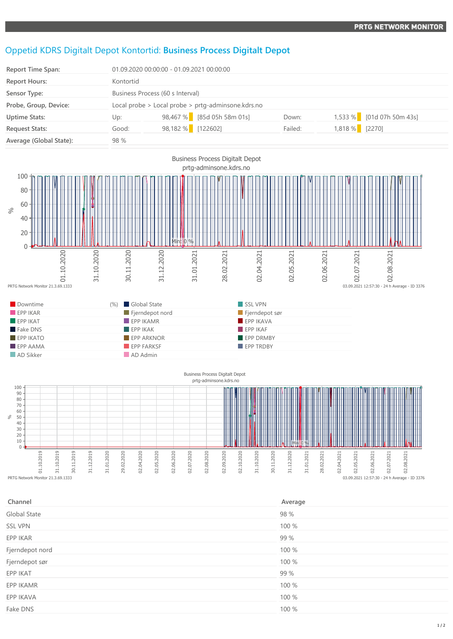## Oppetid KDRS Digitalt Depot Kontortid: **Business Process Digitalt Depot**

| <b>Report Time Span:</b> |           | 01.09.2020 00:00:00 - 01.09.2021 00:00:00          |         |                           |  |  |  |
|--------------------------|-----------|----------------------------------------------------|---------|---------------------------|--|--|--|
| <b>Report Hours:</b>     | Kontortid |                                                    |         |                           |  |  |  |
| Sensor Type:             |           | Business Process (60 s Interval)                   |         |                           |  |  |  |
| Probe, Group, Device:    |           | Local probe > Local probe > prtg-adminsone.kdrs.no |         |                           |  |  |  |
| <b>Uptime Stats:</b>     | Up:       | 98,467 % [85d 05h 58m 01s]                         | Down:   | 1,533 % [01d 07h 50m 43s] |  |  |  |
| <b>Request Stats:</b>    | Good:     | 98,182 % [122602]                                  | Failed: | 1,818 % [2270]            |  |  |  |
| Average (Global State):  | 98 %      |                                                    |         |                           |  |  |  |



 $\sqrt{2}$ 10 02.02019<br>
01.02.02019<br>
PRTG Network Monitor 21.3.69.1333 31.10.2019 30.11.2019 31.12.2019 31.01.2020 29.02.2020 02.04.2020 02.05.2020 02.06.2020 02.07.2020 02.08.2020 02.09.2020 02.10.2020 31.10.2020 30.11.2020 31.12.2020 31.01.2021 28.02.2021 02.04.2021 02.05.2021 02.06.2021 02.07.2021 02.08.2021 Min: 0 % 03.09.2021 12:57:30 - 24 h Average - ID 3376

| Channel         | Average |
|-----------------|---------|
| Global State    | 98 %    |
| <b>SSL VPN</b>  | 100 %   |
| EPP IKAR        | 99 %    |
| Fjerndepot nord | 100 %   |
| Fjerndepot sør  | 100 %   |
| EPP IKAT        | 99 %    |
| EPP IKAMR       | 100 %   |
| EPP IKAVA       | 100 %   |
| Fake DNS        | 100 %   |
|                 |         |